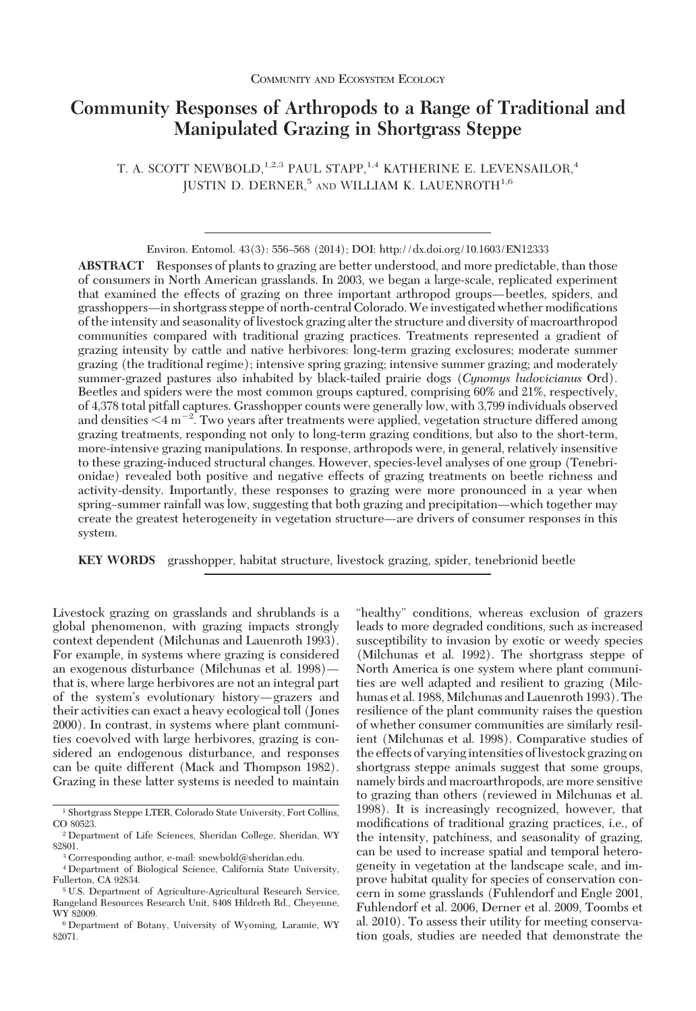# **Community Responses of Arthropods to a Range of Traditional and Manipulated Grazing in Shortgrass Steppe**

T. A. SCOTT NEWBOLD, <sup>1,2,3</sup> PAUL STAPP, <sup>1,4</sup> KATHERINE E. LEVENSAILOR,<sup>4</sup> JUSTIN D. DERNER, $5$  and WILLIAM K. LAUENROTH $^{1,6}$ 

Environ. Entomol. 43(3): 556-568 (2014); DOI: http://dx.doi.org/10.1603/EN12333

**ABSTRACT** Responses of plants to grazing are better understood, and more predictable, than those of consumers in North American grasslands. In 2003, we began a large-scale, replicated experiment that examined the effects of grazing on three important arthropod groups—beetles, spiders, and grasshoppers—in shortgrass steppe of north-central Colorado. We investigated whether modifications of the intensity and seasonality of livestock grazing alter the structure and diversity of macroarthropod communities compared with traditional grazing practices. Treatments represented a gradient of grazing intensity by cattle and native herbivores: long-term grazing exclosures; moderate summer grazing (the traditional regime); intensive spring grazing; intensive summer grazing; and moderately summer-grazed pastures also inhabited by black-tailed prairie dogs (*Cynomys ludovicianus* Ord). Beetles and spiders were the most common groups captured, comprising 60% and 21%, respectively, of 4,378 total pitfall captures. Grasshopper counts were generally low, with 3,799 individuals observed and densities  $\leq$ 4 m<sup>-2</sup>. Two years after treatments were applied, vegetation structure differed among grazing treatments, responding not only to long-term grazing conditions, but also to the short-term, more-intensive grazing manipulations. In response, arthropods were, in general, relatively insensitive to these grazing-induced structural changes. However, species-level analyses of one group (Tenebrionidae) revealed both positive and negative effects of grazing treatments on beetle richness and activity-density. Importantly, these responses to grazing were more pronounced in a year when spring–summer rainfall was low, suggesting that both grazing and precipitation—which together may create the greatest heterogeneity in vegetation structure—are drivers of consumer responses in this system.

**KEY WORDS** grasshopper, habitat structure, livestock grazing, spider, tenebrionid beetle

Livestock grazing on grasslands and shrublands is a global phenomenon, with grazing impacts strongly context dependent (Milchunas and Lauenroth 1993). For example, in systems where grazing is considered an exogenous disturbance (Milchunas et al. 1998) $$ that is, where large herbivores are not an integral part of the system's evolutionary history—grazers and their activities can exact a heavy ecological toll (Jones 2000). In contrast, in systems where plant communities coevolved with large herbivores, grazing is considered an endogenous disturbance, and responses can be quite different (Mack and Thompson 1982). Grazing in these latter systems is needed to maintain

"healthy" conditions, whereas exclusion of grazers leads to more degraded conditions, such as increased susceptibility to invasion by exotic or weedy species (Milchunas et al. 1992). The shortgrass steppe of North America is one system where plant communities are well adapted and resilient to grazing (Milchunas et al. 1988, Milchunas and Lauenroth 1993). The resilience of the plant community raises the question of whether consumer communities are similarly resilient (Milchunas et al. 1998). Comparative studies of the effects of varying intensities of livestock grazing on shortgrass steppe animals suggest that some groups, namely birds and macroarthropods, are more sensitive to grazing than others (reviewed in Milchunas et al. 1998). It is increasingly recognized, however, that modifications of traditional grazing practices, i.e., of the intensity, patchiness, and seasonality of grazing, can be used to increase spatial and temporal heterogeneity in vegetation at the landscape scale, and improve habitat quality for species of conservation concern in some grasslands (Fuhlendorf and Engle 2001, Fuhlendorf et al. 2006, Derner et al. 2009, Toombs et al. 2010). To assess their utility for meeting conservation goals, studies are needed that demonstrate the

<sup>1</sup> Shortgrass Steppe LTER, Colorado State University, Fort Collins, CO 80523.

<sup>2</sup> Department of Life Sciences, Sheridan College, Sheridan, WY 82801.

<sup>3</sup> Corresponding author, e-mail: snewbold@sheridan.edu.

<sup>4</sup> Department of Biological Science, California State University, Fullerton, CA 92834.

<sup>5</sup> U.S. Department of Agriculture-Agricultural Research Service, Rangeland Resources Research Unit, 8408 Hildreth Rd., Cheyenne, WY 82009.

<sup>6</sup> Department of Botany, University of Wyoming, Laramie, WY 82071.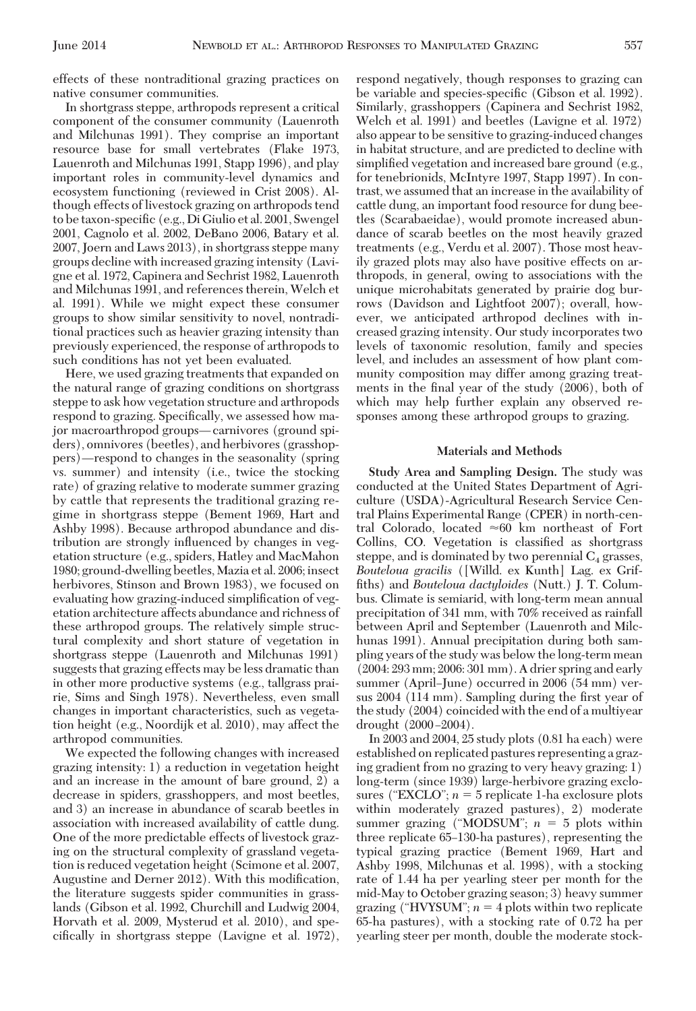effects of these nontraditional grazing practices on native consumer communities.

In shortgrass steppe, arthropods represent a critical component of the consumer community (Lauenroth and Milchunas 1991). They comprise an important resource base for small vertebrates (Flake 1973, Lauenroth and Milchunas 1991, Stapp 1996), and play important roles in community-level dynamics and ecosystem functioning (reviewed in Crist 2008). Although effects of livestock grazing on arthropods tend to be taxon-specific (e.g., Di Giulio et al. 2001, Swengel 2001, Cagnolo et al. 2002, DeBano 2006, Batary et al. 2007, Joern and Laws 2013), in shortgrass steppe many groups decline with increased grazing intensity (Lavigne et al. 1972, Capinera and Sechrist 1982, Lauenroth and Milchunas 1991, and references therein, Welch et al. 1991). While we might expect these consumer groups to show similar sensitivity to novel, nontraditional practices such as heavier grazing intensity than previously experienced, the response of arthropods to such conditions has not yet been evaluated.

Here, we used grazing treatments that expanded on the natural range of grazing conditions on shortgrass steppe to ask how vegetation structure and arthropods respond to grazing. Specifically, we assessed how major macroarthropod groups—carnivores (ground spiders), omnivores (beetles), and herbivores (grasshoppers)—respond to changes in the seasonality (spring vs. summer) and intensity (i.e., twice the stocking rate) of grazing relative to moderate summer grazing by cattle that represents the traditional grazing regime in shortgrass steppe (Bement 1969, Hart and Ashby 1998). Because arthropod abundance and distribution are strongly inßuenced by changes in vegetation structure (e.g., spiders, Hatley and MacMahon 1980; ground-dwelling beetles,Mazia et al. 2006; insect herbivores, Stinson and Brown 1983), we focused on evaluating how grazing-induced simplification of vegetation architecture affects abundance and richness of these arthropod groups. The relatively simple structural complexity and short stature of vegetation in shortgrass steppe (Lauenroth and Milchunas 1991) suggests that grazing effects may be less dramatic than in other more productive systems (e.g., tallgrass prairie, Sims and Singh 1978). Nevertheless, even small changes in important characteristics, such as vegetation height (e.g., Noordijk et al. 2010), may affect the arthropod communities.

We expected the following changes with increased grazing intensity: 1) a reduction in vegetation height and an increase in the amount of bare ground, 2) a decrease in spiders, grasshoppers, and most beetles, and 3) an increase in abundance of scarab beetles in association with increased availability of cattle dung. One of the more predictable effects of livestock grazing on the structural complexity of grassland vegetation is reduced vegetation height (Scimone et al. 2007, Augustine and Derner 2012). With this modification, the literature suggests spider communities in grasslands (Gibson et al. 1992, Churchill and Ludwig 2004, Horvath et al. 2009, Mysterud et al. 2010), and spe $cifically$  in shortgrass steppe (Lavigne et al. 1972), respond negatively, though responses to grazing can be variable and species-specific (Gibson et al. 1992). Similarly, grasshoppers (Capinera and Sechrist 1982, Welch et al. 1991) and beetles (Lavigne et al. 1972) also appear to be sensitive to grazing-induced changes in habitat structure, and are predicted to decline with simplified vegetation and increased bare ground (e.g., for tenebrionids, McIntyre 1997, Stapp 1997). In contrast, we assumed that an increase in the availability of cattle dung, an important food resource for dung beetles (Scarabaeidae), would promote increased abundance of scarab beetles on the most heavily grazed treatments (e.g., Verdu et al. 2007). Those most heavily grazed plots may also have positive effects on arthropods, in general, owing to associations with the unique microhabitats generated by prairie dog burrows (Davidson and Lightfoot 2007); overall, however, we anticipated arthropod declines with increased grazing intensity. Our study incorporates two levels of taxonomic resolution, family and species level, and includes an assessment of how plant community composition may differ among grazing treatments in the final year of the study  $(2006)$ , both of which may help further explain any observed responses among these arthropod groups to grazing.

### **Materials and Methods**

**Study Area and Sampling Design.** The study was conducted at the United States Department of Agriculture (USDA)-Agricultural Research Service Central Plains Experimental Range (CPER) in north-central Colorado, located  $\approx\!60$  km northeast of Fort Collins, CO. Vegetation is classified as shortgrass steppe, and is dominated by two perennial  $C_4$  grasses, *Bouteloua gracilis* ([Willd. ex Kunth] Lag. ex Griffiths) and *Bouteloua dactyloides* (Nutt.) J. T. Columbus. Climate is semiarid, with long-term mean annual precipitation of 341 mm, with 70% received as rainfall between April and September (Lauenroth and Milchunas 1991). Annual precipitation during both sampling years of the study was below the long-term mean (2004: 293 mm; 2006: 301 mm). A drier spring and early summer (April–June) occurred in 2006 (54 mm) versus 2004 (114 mm). Sampling during the first year of the study (2004) coincided with the end of a multiyear drought  $(2000 - 2004)$ .

In 2003 and 2004, 25 study plots (0.81 ha each) were established on replicated pastures representing a grazing gradient from no grazing to very heavy grazing: 1) long-term (since 1939) large-herbivore grazing exclosures ("EXCLO";  $n = 5$  replicate 1-ha exclosure plots within moderately grazed pastures), 2) moderate summer grazing ("MODSUM";  $n = 5$  plots within three replicate 65Ð130-ha pastures), representing the typical grazing practice (Bement 1969, Hart and Ashby 1998, Milchunas et al. 1998), with a stocking rate of 1.44 ha per yearling steer per month for the mid-May to October grazing season; 3) heavy summer grazing ("HVYSUM";  $n = 4$  plots within two replicate 65-ha pastures), with a stocking rate of 0.72 ha per yearling steer per month, double the moderate stock-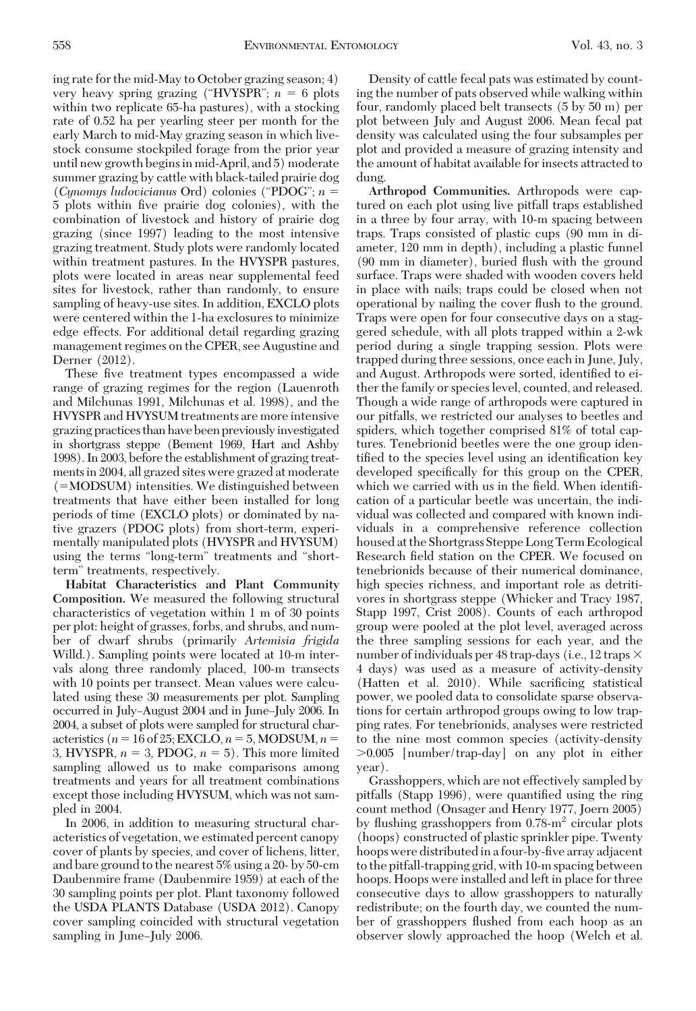ing rate for the mid-May to October grazing season; 4) very heavy spring grazing ("HVYSPR";  $n = 6$  plots within two replicate 65-ha pastures), with a stocking rate of 0.52 ha per yearling steer per month for the early March to mid-May grazing season in which livestock consume stockpiled forage from the prior year until new growth begins in mid-April, and 5) moderate summer grazing by cattle with black-tailed prairie dog (*Cynomys ludovicianus* Ord) colonies ("PDOG"; *n* 5 plots within Þve prairie dog colonies), with the combination of livestock and history of prairie dog grazing (since 1997) leading to the most intensive grazing treatment. Study plots were randomly located within treatment pastures. In the HVYSPR pastures, plots were located in areas near supplemental feed sites for livestock, rather than randomly, to ensure sampling of heavy-use sites. In addition, EXCLO plots were centered within the 1-ha exclosures to minimize edge effects. For additional detail regarding grazing management regimes on the CPER, see Augustine and Derner (2012).

These five treatment types encompassed a wide range of grazing regimes for the region (Lauenroth and Milchunas 1991, Milchunas et al. 1998), and the HVYSPR and HVYSUM treatments are more intensive grazing practices than have been previously investigated in shortgrass steppe (Bement 1969, Hart and Ashby 1998). In 2003, before the establishment of grazing treatments in 2004, all grazed sites were grazed at moderate  $(=MODSUM)$  intensities. We distinguished between treatments that have either been installed for long periods of time (EXCLO plots) or dominated by native grazers (PDOG plots) from short-term, experimentally manipulated plots (HVYSPR and HVYSUM) using the terms "long-term" treatments and "shortterm" treatments, respectively.

**Habitat Characteristics and Plant Community Composition.** We measured the following structural characteristics of vegetation within 1 m of 30 points per plot: height of grasses, forbs, and shrubs, and number of dwarf shrubs (primarily *Artemisia frigida* Willd.). Sampling points were located at 10-m intervals along three randomly placed, 100-m transects with 10 points per transect. Mean values were calculated using these 30 measurements per plot. Sampling occurred in July-August 2004 and in June-July 2006. In 2004, a subset of plots were sampled for structural characteristics ( $n = 16$  of 25; EXCLO,  $n = 5$ , MODSUM,  $n =$ 3, HVYSPR,  $n = 3$ , PDOG,  $n = 5$ ). This more limited sampling allowed us to make comparisons among treatments and years for all treatment combinations except those including HVYSUM, which was not sampled in 2004.

In 2006, in addition to measuring structural characteristics of vegetation, we estimated percent canopy cover of plants by species, and cover of lichens, litter, and bare ground to the nearest 5% using a 20- by 50-cm Daubenmire frame (Daubenmire 1959) at each of the 30 sampling points per plot. Plant taxonomy followed the USDA PLANTS Database (USDA 2012). Canopy cover sampling coincided with structural vegetation sampling in June–July 2006.

Density of cattle fecal pats was estimated by counting the number of pats observed while walking within four, randomly placed belt transects (5 by 50 m) per plot between July and August 2006. Mean fecal pat density was calculated using the four subsamples per plot and provided a measure of grazing intensity and the amount of habitat available for insects attracted to dung.

**Arthropod Communities.** Arthropods were captured on each plot using live pitfall traps established in a three by four array, with 10-m spacing between traps. Traps consisted of plastic cups (90 mm in diameter, 120 mm in depth), including a plastic funnel (90 mm in diameter), buried ßush with the ground surface. Traps were shaded with wooden covers held in place with nails; traps could be closed when not operational by nailing the cover ßush to the ground. Traps were open for four consecutive days on a staggered schedule, with all plots trapped within a 2-wk period during a single trapping session. Plots were trapped during three sessions, once each in June, July, and August. Arthropods were sorted, identified to either the family or species level, counted, and released. Though a wide range of arthropods were captured in our pitfalls, we restricted our analyses to beetles and spiders, which together comprised 81% of total captures. Tenebrionid beetles were the one group identified to the species level using an identification key developed specifically for this group on the CPER, which we carried with us in the field. When identification of a particular beetle was uncertain, the individual was collected and compared with known individuals in a comprehensive reference collection housed at the Shortgrass Steppe Long Term Ecological Research field station on the CPER. We focused on tenebrionids because of their numerical dominance, high species richness, and important role as detritivores in shortgrass steppe (Whicker and Tracy 1987, Stapp 1997, Crist 2008). Counts of each arthropod group were pooled at the plot level, averaged across the three sampling sessions for each year, and the number of individuals per 48 trap-days (i.e., 12 traps  $\times$ 4 days) was used as a measure of activity-density (Hatten et al. 2010). While sacrificing statistical power, we pooled data to consolidate sparse observations for certain arthropod groups owing to low trapping rates. For tenebrionids, analyses were restricted to the nine most common species (activity-density  $>0.005$  [number/trap-day] on any plot in either year).

Grasshoppers, which are not effectively sampled by pitfalls (Stapp 1996), were quantified using the ring count method (Onsager and Henry 1977, Joern 2005) by flushing grasshoppers from  $0.78 \text{m}^2$  circular plots (hoops) constructed of plastic sprinkler pipe. Twenty hoops were distributed in a four-by-five array adjacent to the pitfall-trapping grid, with 10-m spacing between hoops. Hoops were installed and left in place for three consecutive days to allow grasshoppers to naturally redistribute; on the fourth day, we counted the number of grasshoppers ßushed from each hoop as an observer slowly approached the hoop (Welch et al.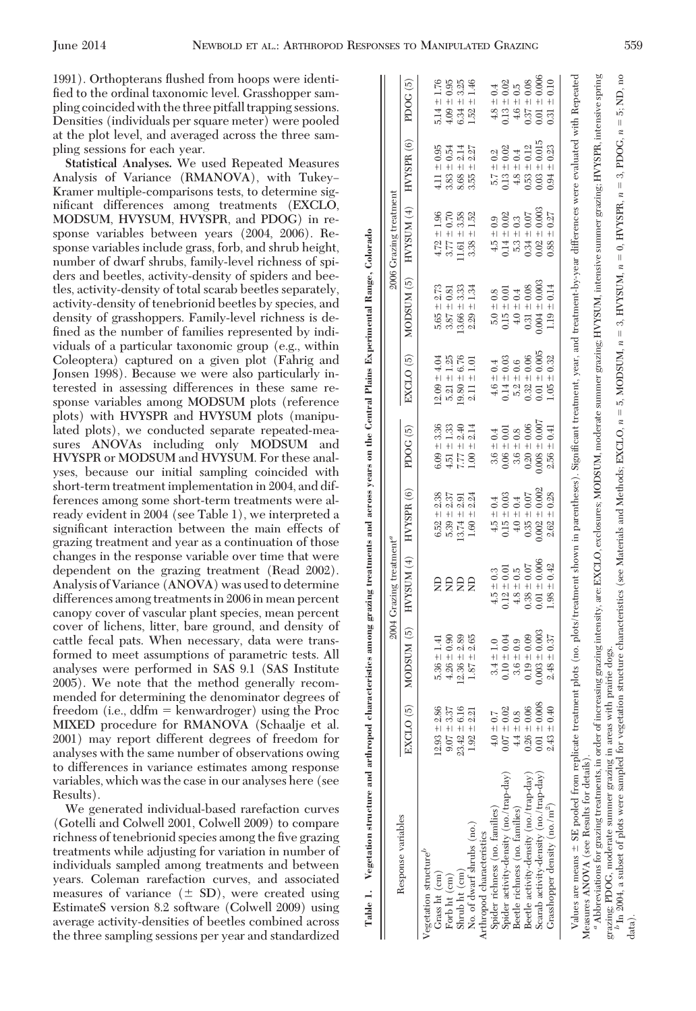Table 1. Vegetation structure and arthropod characteristics among grazing treatments and across years on the Central Plains Experimental Range, Colorado

Table 1. Vegetation structure and arthropod characteristics among a

grazing treatments and across years on the Central Plains Experimental Range, Colorado

data).

1991). Orthopterans ßushed from hoops were identified to the ordinal taxonomic level. Grasshopper sampling coincided with the three pitfall trapping sessions. Densities (individuals per square meter) were pooled at the plot level, and averaged across the three sampling sessions for each year.

**Statistical Analyses.** We used Repeated Measures Analysis of Variance (RMANOVA), with Tukey-Kramer multiple-comparisons tests, to determine significant differences among treatments (EXCLO, MODSUM, HVYSUM, HVYSPR, and PDOG) in response variables between years (2004, 2006). Response variables include grass, forb, and shrub height, number of dwarf shrubs, family-level richness of spiders and beetles, activity-density of spiders and beetles, activity-density of total scarab beetles separately, activity-density of tenebrionid beetles by species, and density of grasshoppers. Family-level richness is defined as the number of families represented by individuals of a particular taxonomic group (e.g., within Coleoptera) captured on a given plot (Fahrig and Jonsen 1998). Because we were also particularly interested in assessing differences in these same response variables among MODSUM plots (reference plots) with HVYSPR and HVYSUM plots (manipulated plots), we conducted separate repeated-measures ANOVAs including only MODSUM and HVYSPR or MODSUM and HVYSUM. For these analyses, because our initial sampling coincided with short-term treatment implementation in 2004, and differences among some short-term treatments were already evident in 2004 (see Table 1), we interpreted a significant interaction between the main effects of grazing treatment and year as a continuation of those changes in the response variable over time that were dependent on the grazing treatment (Read 2002). Analysis of Variance (ANOVA) was used to determine differences among treatments in 2006 in mean percent canopy cover of vascular plant species, mean percent cover of lichens, litter, bare ground, and density of cattle fecal pats. When necessary, data were transformed to meet assumptions of parametric tests. All analyses were performed in SAS 9.1 (SAS Institute 2005). We note that the method generally recommended for determining the denominator degrees of freedom (i.e.,  $ddfm =$  kenwardroger) using the Proc MIXED procedure for RMANOVA (Schaalje et al. 2001) may report different degrees of freedom for analyses with the same number of observations owing to differences in variance estimates among response variables, which was the case in our analyses here (see Results).

We generated individual-based rarefaction curves (Gotelli and Colwell 2001, Colwell 2009) to compare richness of tenebrionid species among the five grazing treatments while adjusting for variation in number of individuals sampled among treatments and between years. Coleman rarefaction curves, and associated measures of variance  $(\pm SD)$ , were created using EstimateS version 8.2 software (Colwell 2009) using average activity-densities of beetles combined across the three sampling sessions per year and standardized

|                                                                                                                                                                                                                                                  |                      |                   | $2004$ Grazing treatment <sup>"</sup> |                             |                        |                       |                    | 2006 Grazing treatment |                        |                               |
|--------------------------------------------------------------------------------------------------------------------------------------------------------------------------------------------------------------------------------------------------|----------------------|-------------------|---------------------------------------|-----------------------------|------------------------|-----------------------|--------------------|------------------------|------------------------|-------------------------------|
| Response variables                                                                                                                                                                                                                               | EXCLO <sub>(5)</sub> | MODSUM (5)        | HVTSUM(4)                             | $HVYSPR$ (6)                | PDOG (5)               | EXCLO <sub>(5)</sub>  | MODSUM (5)         | HVTSUM(4)              | HVYSPR <sub>(6)</sub>  | PDOG (5)                      |
| Vegetation structure <sup>t</sup>                                                                                                                                                                                                                |                      |                   |                                       |                             |                        |                       |                    |                        |                        |                               |
| Grass ht (cm)                                                                                                                                                                                                                                    | $12.93 \pm 2.86$     | $5.36 \pm 1.41$   |                                       | $6.52 \pm 2.38$             | $6.09 \pm 3.36$        | $12.09 \pm 4.04$      | $5.65 \pm 2.73$    | $4.72 \pm 1.96$        | $4.11 \pm 0.95$        | $5.14 \pm 1.76$               |
| Forb ht (cm)                                                                                                                                                                                                                                     | $9.07 \pm 3.37$      | $4.26 \pm 0.90$   |                                       | $5.39 \pm 2.37$             | $\frac{33}{1}$<br>4.51 | $-1.25$<br>5.21       | $3.87 \pm 0.81$    | $3.77 \pm 0.70$        | $3.83 \pm 0.54$        | $4.09 \pm 0.95$               |
| Shrub ht $(cm)$                                                                                                                                                                                                                                  | $23.42 \pm 6.16$     | $12.36 \pm 2.89$  | ξâ                                    | $13.74 \pm 2.91$            | 2.40<br>7.77 ±         | $19.80 \pm 6.76$      | $13.66 \pm 3.33$   | $11.61 \pm 3.58$       | $8.68 \pm 2.14$        | 3.25<br>$\frac{1}{1}$<br>6.34 |
| No. of dwarf shrubs (no.)                                                                                                                                                                                                                        | $1.92 \pm 2.21$      | 2.65<br>$1.87 +$  | £                                     | $-12.24$<br>1.60            | 2.14<br>$1.00 +$       | $\pm 1.01$<br>2.11    | ±1.34<br>2.29      | $+1.52$<br>338         | $3.55 \pm 2.27$        | $\pm$ 1.46<br>1.52            |
| Arthropod characteristics                                                                                                                                                                                                                        |                      |                   |                                       |                             |                        |                       |                    |                        |                        |                               |
| Spider richness (no. families)                                                                                                                                                                                                                   | $4.0 \pm 0.7$        | $3.4 \pm 1.0$     | $4.5 \pm 0.3$                         | $\pm 0.4$<br>$\frac{15}{4}$ | $3.6 \pm 0.4$          | $4.6 \pm 0.4$         | $5.0 \pm 0.8$      | $4.5 \pm 0.9$          | $5.7 \pm 0.2$          | $4.8 \pm 0.4$                 |
| Spider activity-density (no./trap-day)                                                                                                                                                                                                           | $0.07 \pm 0.02$      | $0.10 \pm 0.04$   | $0.12 \pm 0.01$                       | $\pm 0.03$<br>0.15          | $0.06 \pm 0.01$        | $0.14 \pm 0.03$       | $0.15 \pm 0.01$    | $0.14 \pm 0.02$        | $0.13 \pm 0.02$        | $0.13 \pm 0.02$               |
| Beetle richness (no. families)                                                                                                                                                                                                                   | $4.4 \pm 0.8$        | $3.6 \pm 0.9$     | $\pm 0.5$<br>4.8                      | $\pm 0.4$<br>4.0            | $= 0.8$<br>3.6         | $-6.6$<br>5.2         | $4.0 \pm 0.4$      | $5.3 \pm 0.3$          | $4.8 \pm 0.4$          | $\pm 0.5$<br>4.6              |
| Beetle activity-density (no./trap-day)                                                                                                                                                                                                           | $0.26 \pm 0.06$      | $0.19 \pm 0.09$   | $= 0.07$<br>0.38                      | $= 0.07$<br>0.35            | $0.20 \pm 0.06$        | $+0.06$<br>0.32       | $0.31 \pm 0.08$    | $0.34 \pm 0.07$        | $0.53 \pm 0.12$        | $0.37 \pm 0.08$               |
| Scarab activity-density (no./trap-day)                                                                                                                                                                                                           | $0.01 \pm 0.008$     | $0.003 \pm 0.003$ | $0.01 \pm 0.006$                      | $0.002 \pm 0.00$            | $0.008 \pm 0.00$       | $= 0.005$<br>0.01     | $0.004 \pm 0.003$  | $0.02 \pm 0.003$       | $0.03 \pm 0.015$       | $0.01 \pm 0.006$              |
| Grasshopper density (no./m <sup>2</sup> )                                                                                                                                                                                                        | $2.43 \pm 0.40$      | $2.48 \pm 0.37$   | $\pm 0.42$<br>98                      | $\pm 0.28$<br>2.62          | $\pm 0.41$<br>2.56     | $= 0.32$<br>$\approx$ | $\pm 0.14$<br>1.19 | $0.88 \pm 0.27$        | $\pm 0.23$<br>$0.94 -$ | $\pm 0.10$<br>0.31            |
|                                                                                                                                                                                                                                                  |                      |                   |                                       |                             |                        |                       |                    |                        |                        |                               |
| Values are means ± SE pooled from replicate treatment plots (no. plots/treatment shown in parentheses). Significant treatment, year, and treatment-by-year differences were evaluated with Repeated<br>Measures ANOVA (see Results for details). |                      |                   |                                       |                             |                        |                       |                    |                        |                        |                               |
| " Abbreviations for grazing treatments, in order of increasing grazing intensity, are: EXCLO, exclosures; MODSUM, moderate summer grazing; HVYSUM, intensive summer grazing; HVYSPR, intensive spring                                            |                      |                   |                                       |                             |                        |                       |                    |                        |                        |                               |
| grazing; PDOG, moderate summer grazing in areas with                                                                                                                                                                                             |                      | prairie dogs      |                                       |                             |                        |                       |                    |                        |                        |                               |
| $^b$ In 2004, a subset of plots were sampled for vegetation structure characteristics (see Materials and Methods; EXCLO, $n = 5$ , MODSUM, $n = 3$ , HYYSUM, $n = 0$ , HYYSPR, $n = 3$ , PDOG, $n = 5$ , ND, no                                  |                      |                   |                                       |                             |                        |                       |                    |                        |                        |                               |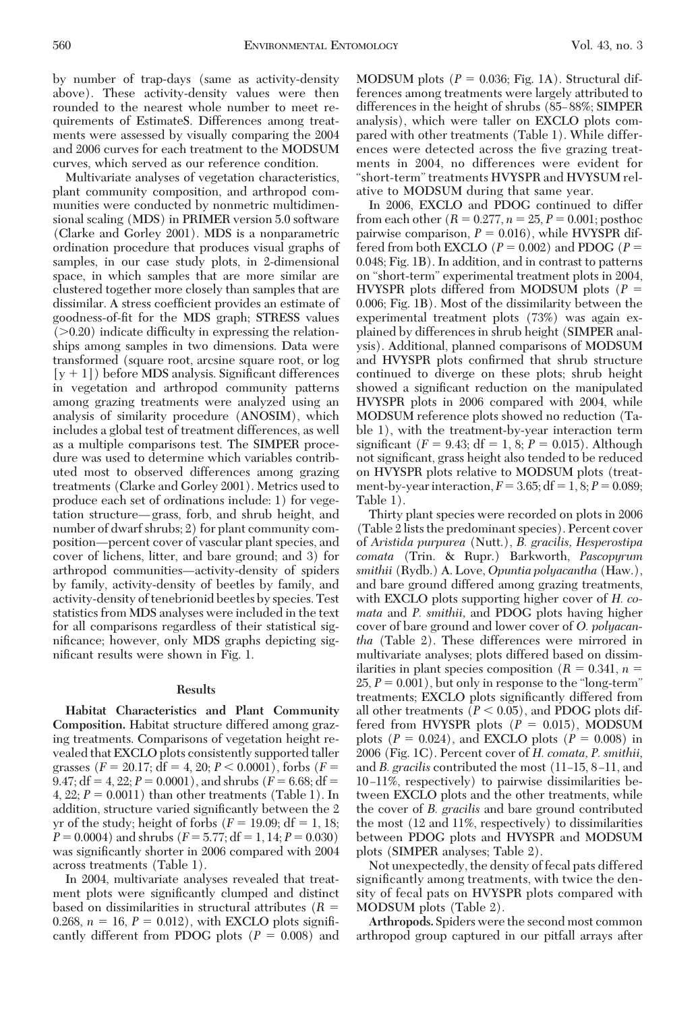by number of trap-days (same as activity-density above). These activity-density values were then rounded to the nearest whole number to meet requirements of EstimateS. Differences among treatments were assessed by visually comparing the 2004 and 2006 curves for each treatment to the MODSUM curves, which served as our reference condition.

Multivariate analyses of vegetation characteristics, plant community composition, and arthropod communities were conducted by nonmetric multidimensional scaling (MDS) in PRIMER version 5.0 software (Clarke and Gorley 2001). MDS is a nonparametric ordination procedure that produces visual graphs of samples, in our case study plots, in 2-dimensional space, in which samples that are more similar are clustered together more closely than samples that are dissimilar. A stress coefficient provides an estimate of goodness-of-fit for the MDS graph; STRESS values  $(0.20)$  indicate difficulty in expressing the relationships among samples in two dimensions. Data were transformed (square root, arcsine square root, or log  $[y + 1]$ ) before MDS analysis. Significant differences in vegetation and arthropod community patterns among grazing treatments were analyzed using an analysis of similarity procedure (ANOSIM), which includes a global test of treatment differences, as well as a multiple comparisons test. The SIMPER procedure was used to determine which variables contributed most to observed differences among grazing treatments (Clarke and Gorley 2001). Metrics used to produce each set of ordinations include: 1) for vegetation structure—grass, forb, and shrub height, and number of dwarf shrubs; 2) for plant community composition—percent cover of vascular plant species, and cover of lichens, litter, and bare ground; and 3) for arthropod communities—activity-density of spiders by family, activity-density of beetles by family, and activity-density of tenebrionid beetles by species. Test statistics from MDS analyses were included in the text for all comparisons regardless of their statistical significance; however, only MDS graphs depicting significant results were shown in Fig. 1.

#### **Results**

**Habitat Characteristics and Plant Community Composition.** Habitat structure differed among grazing treatments. Comparisons of vegetation height revealed that EXCLO plots consistently supported taller grasses  $(F = 20.17; df = 4, 20; P < 0.0001)$ , forbs  $(F =$ 9.47;  $df = 4$ , 22;  $P = 0.0001$ ), and shrubs ( $F = 6.68$ ;  $df =$ 4, 22;  $P = 0.0011$ ) than other treatments (Table 1). In addition, structure varied significantly between the 2 yr of the study; height of forbs  $(F = 19.09; df = 1, 18;$  $P = 0.0004$ ) and shrubs ( $F = 5.77$ ; df = 1, 14;  $P = 0.030$ ) was significantly shorter in 2006 compared with 2004 across treatments (Table 1).

In 2004, multivariate analyses revealed that treatment plots were significantly clumped and distinct based on dissimilarities in structural attributes (*R* 0.268,  $n = 16$ ,  $P = 0.012$ ), with EXCLO plots significantly different from PDOG plots  $(P = 0.008)$  and MODSUM plots  $(P = 0.036; Fig. 1A)$ . Structural differences among treatments were largely attributed to differences in the height of shrubs (85–88%; SIMPER analysis), which were taller on EXCLO plots compared with other treatments (Table 1). While differences were detected across the five grazing treatments in 2004, no differences were evident for "short-term"treatments HVYSPR and HVYSUM relative to MODSUM during that same year.

In 2006, EXCLO and PDOG continued to differ from each other  $(R = 0.277, n = 25, P = 0.001$ ; posthoc pairwise comparison,  $P = 0.016$ ), while HVYSPR differed from both EXCLO  $(P = 0.002)$  and PDOG  $(P =$ 0.048; Fig. 1B). In addition, and in contrast to patterns on "short-term" experimental treatment plots in 2004, HVYSPR plots differed from MODSUM plots (*P* 0.006; Fig. 1B). Most of the dissimilarity between the experimental treatment plots (73%) was again explained by differences in shrub height (SIMPER analysis). Additional, planned comparisons of MODSUM and HVYSPR plots confirmed that shrub structure continued to diverge on these plots; shrub height showed a significant reduction on the manipulated HVYSPR plots in 2006 compared with 2004, while MODSUM reference plots showed no reduction (Table 1), with the treatment-by-year interaction term significant  $(F = 9.43; df = 1, 8; P = 0.015)$ . Although not significant, grass height also tended to be reduced on HVYSPR plots relative to MODSUM plots (treatment-by-year interaction,  $F = 3.65$ ;  $df = 1, 8; P = 0.089$ ; Table 1).

Thirty plant species were recorded on plots in 2006 (Table 2 lists the predominant species). Percent cover of *Aristida purpurea* (Nutt.), *B. gracilis, Hesperostipa comata* (Trin. & Rupr.) Barkworth, *Pascopyrum smithii* (Rydb.) A. Love, *Opuntia polyacantha* (Haw.), and bare ground differed among grazing treatments, with EXCLO plots supporting higher cover of *H. comata* and *P. smithii,* and PDOG plots having higher cover of bare ground and lower cover of *O. polyacantha* (Table 2). These differences were mirrored in multivariate analyses; plots differed based on dissimilarities in plant species composition  $(R = 0.341, n =$  $25, P = 0.001$ , but only in response to the "long-term" treatments; EXCLO plots significantly differed from all other treatments  $(P < 0.05)$ , and PDOG plots differed from HVYSPR plots  $(P = 0.015)$ , MODSUM plots ( $P = 0.024$ ), and EXCLO plots ( $P = 0.008$ ) in 2006 (Fig. 1C). Percent cover of *H. comata, P. smithii,* and *B. gracilis* contributed the most (11–15, 8–11, and 10-11%, respectively) to pairwise dissimilarities between EXCLO plots and the other treatments, while the cover of *B. gracilis* and bare ground contributed the most (12 and 11%, respectively) to dissimilarities between PDOG plots and HVYSPR and MODSUM plots (SIMPER analyses; Table 2).

Not unexpectedly, the density of fecal pats differed significantly among treatments, with twice the density of fecal pats on HVYSPR plots compared with MODSUM plots (Table 2).

**Arthropods.** Spiders were the second most common arthropod group captured in our pitfall arrays after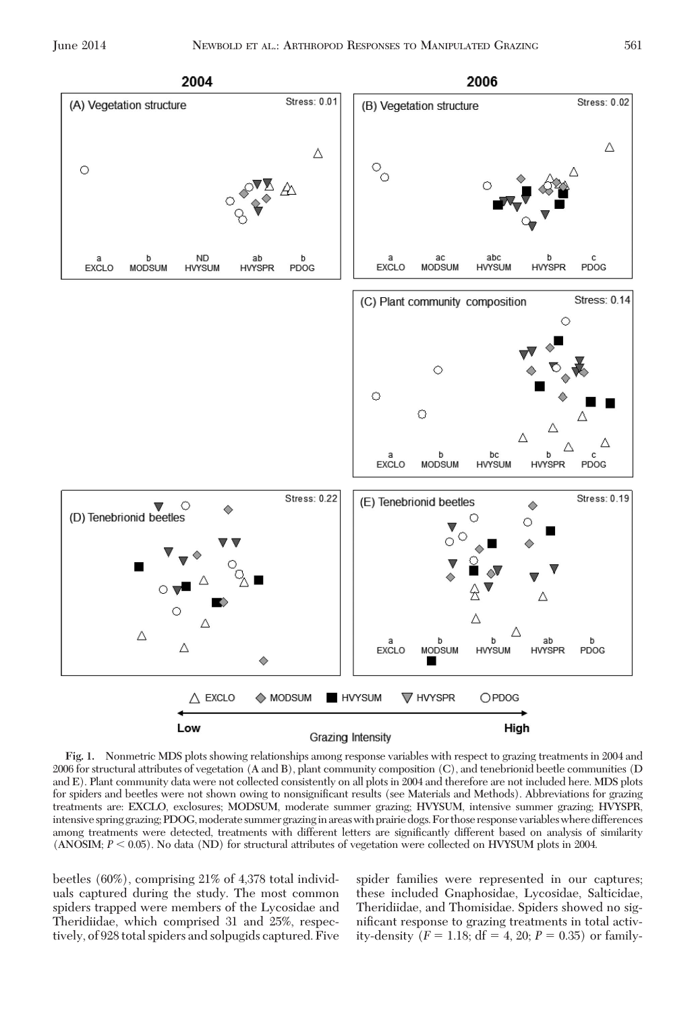

**Fig. 1.** Nonmetric MDS plots showing relationships among response variables with respect to grazing treatments in 2004 and 2006 for structural attributes of vegetation (A and B), plant community composition (C), and tenebrionid beetle communities (D and E). Plant community data were not collected consistently on all plots in 2004 and therefore are not included here. MDS plots for spiders and beetles were not shown owing to nonsignificant results (see Materials and Methods). Abbreviations for grazing treatments are: EXCLO, exclosures; MODSUM, moderate summer grazing; HVYSUM, intensive summer grazing; HVYSPR, intensive spring grazing; PDOG, moderate summer grazing in areas with prairie dogs. For those response variables where differences among treatments were detected, treatments with different letters are significantly different based on analysis of similarity  $(ANSOM; P < 0.05)$ . No data  $(ND)$  for structural attributes of vegetation were collected on HVYSUM plots in 2004.

beetles (60%), comprising 21% of 4,378 total individuals captured during the study. The most common spiders trapped were members of the Lycosidae and Theridiidae, which comprised 31 and 25%, respectively, of 928 total spiders and solpugids captured. Five spider families were represented in our captures; these included Gnaphosidae, Lycosidae, Salticidae, Theridiidae, and Thomisidae. Spiders showed no significant response to grazing treatments in total activity-density  $(F = 1.18; df = 4, 20; P = 0.35)$  or family-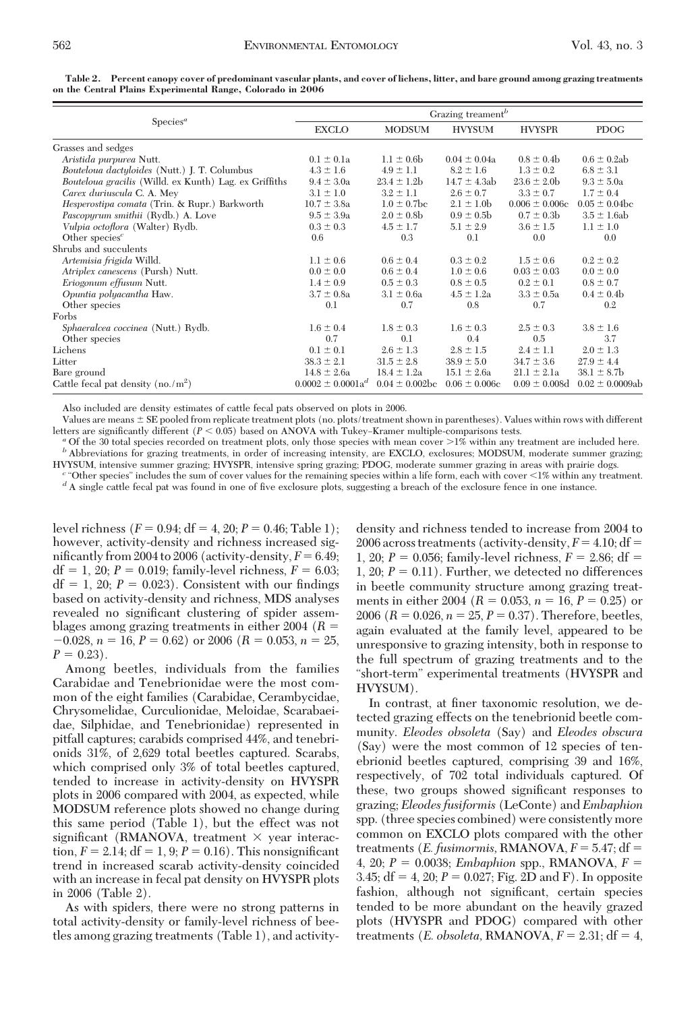| Species <sup>a</sup>                                   | Grazing treament <sup>b</sup> |                     |                   |                    |                      |
|--------------------------------------------------------|-------------------------------|---------------------|-------------------|--------------------|----------------------|
|                                                        | <b>EXCLO</b>                  | <b>MODSUM</b>       | <b>HVYSUM</b>     | <b>HVYSPR</b>      | <b>PDOG</b>          |
| Grasses and sedges                                     |                               |                     |                   |                    |                      |
| Aristida purpurea Nutt.                                | $0.1 \pm 0.1a$                | $1.1 \pm 0.6$ b     | $0.04 \pm 0.04a$  | $0.8 \pm 0.4$      | $0.6 \pm 0.2$ ab     |
| Bouteloua dactyloides (Nutt.) J. T. Columbus           | $4.3 \pm 1.6$                 | $4.9 \pm 1.1$       | $8.2 \pm 1.6$     | $1.3 \pm 0.2$      | $6.8 \pm 3.1$        |
| Bouteloua gracilis (Willd. ex Kunth) Lag. ex Griffiths | $9.4 \pm 3.0a$                | $23.4 \pm 1.2 b$    | $14.7 \pm 4.3ab$  | $23.6 \pm 2.0$     | $9.3 \pm 5.0a$       |
| Carex duriuscula C. A. Mey                             | $3.1 \pm 1.0$                 | $3.2 \pm 1.1$       | $2.6 \pm 0.7$     | $3.3 \pm 0.7$      | $1.7 \pm 0.4$        |
| Hesperostipa comata (Trin. & Rupr.) Barkworth          | $10.7 \pm 3.8a$               | $1.0 \pm 0.7$ bc    | $2.1 \pm 1.0$     | $0.006 \pm 0.006c$ | $0.05 \pm 0.04$ bc   |
| <i>Pascopyrum smithii</i> (Rydb.) A. Love              | $9.5 \pm 3.9a$                | $2.0 \pm 0.8$ b     | $0.9 \pm 0.5$     | $0.7 \pm 0.3$      | $3.5 \pm 1.6$ ab     |
| Vulpia octoflora (Walter) Rydb.                        | $0.3 \pm 0.3$                 | $4.5 \pm 1.7$       | $5.1 \pm 2.9$     | $3.6 \pm 1.5$      | $1.1 \pm 1.0$        |
| Other species <sup><math>c</math></sup>                | 0.6                           | 0.3                 | 0.1               | 0.0                | 0.0                  |
| Shrubs and succulents                                  |                               |                     |                   |                    |                      |
| Artemisia frigida Willd.                               | $1.1 \pm 0.6$                 | $0.6 \pm 0.4$       | $0.3 \pm 0.2$     | $1.5 \pm 0.6$      | $0.2 \pm 0.2$        |
| Atriplex canescens (Pursh) Nutt.                       | $0.0 \pm 0.0$                 | $0.6 \pm 0.4$       | $1.0 \pm 0.6$     | $0.03 \pm 0.03$    | $0.0 \pm 0.0$        |
| Eriogonum effusum Nutt.                                | $1.4 \pm 0.9$                 | $0.5 \pm 0.3$       | $0.8 \pm 0.5$     | $0.2 \pm 0.1$      | $0.8 \pm 0.7$        |
| Opuntia polyacantha Haw.                               | $3.7 \pm 0.8a$                | $3.1 \pm 0.6a$      | $4.5 \pm 1.2a$    | $3.3 \pm 0.5a$     | $0.4 \pm 0.4$        |
| Other species                                          | 0.1                           | 0.7                 | 0.8               | 0.7                | 0.2                  |
| Forbs                                                  |                               |                     |                   |                    |                      |
| Sphaeralcea coccinea (Nutt.) Rydb.                     | $1.6 \pm 0.4$                 | $1.8 \pm 0.3$       | $1.6 \pm 0.3$     | $2.5 \pm 0.3$      | $3.8 \pm 1.6$        |
| Other species                                          | 0.7                           | 0.1                 | 0.4               | 0.5                | 3.7                  |
| Lichens                                                | $0.1 \pm 0.1$                 | $2.6 \pm 1.3$       | $2.8 \pm 1.5$     | $2.4 \pm 1.1$      | $2.0 \pm 1.3$        |
| Litter                                                 | $38.3 \pm 2.1$                | $31.5 \pm 2.8$      | $38.9 \pm 5.0$    | $34.7 \pm 3.6$     | $27.9 \pm 4.4$       |
| Bare ground                                            | $14.8 \pm 2.6a$               | $18.4 \pm 1.2a$     | $15.1 \pm 2.6a$   | $21.1 \pm 2.1a$    | $38.1 \pm 8.7$ b     |
| Cattle fecal pat density $(no./m^2)$                   | $0.0002 \pm 0.0001a^{d}$      | $0.04 \pm 0.002$ be | $0.06 \pm 0.006c$ | $0.09 \pm 0.008d$  | $0.02 \pm 0.0009$ ab |

**Table 2. Percent canopy cover of predominant vascular plants, and cover of lichens, litter, and bare ground among grazing treatments on the Central Plains Experimental Range, Colorado in 2006**

Also included are density estimates of cattle fecal pats observed on plots in 2006.

Values are means  $\pm$  SE pooled from replicate treatment plots (no. plots/treatment shown in parentheses). Values within rows with different letters are significantly different  $(P < 0.05)$  based on ANOVA with Tukey-Kramer multiple-comparisons tests.

 $^a$  Of the 30 total species recorded on treatment plots, only those species with mean cover  $> \! 1\%$  within any treatment are included here.  $^b$  Abbreviations for grazing treatments, in order of increasing intensity, a HVYSUM, intensive summer grazing; HVYSPR, intensive spring grazing; PDOG, moderate summer grazing in areas with prairie dogs.<br>
"Other species" includes the sum of cover values for the remaining species within a life form,

<sup>d</sup> A single cattle fecal pat was found in one of five exclosure plots, suggesting a breach of the exclosure fence in one instance.

level richness  $(F = 0.94; df = 4, 20; P = 0.46; Table 1);$ however, activity-density and richness increased significantly from 2004 to 2006 (activity-density,  $F = 6.49$ ; df = 1, 20;  $P = 0.019$ ; family-level richness,  $F = 6.03$ ;  $df = 1$ , 20;  $P = 0.023$ ). Consistent with our findings based on activity-density and richness, MDS analyses revealed no significant clustering of spider assemblages among grazing treatments in either 2004 (*R*  $-0.028$ ,  $n = 16$ ,  $P = 0.62$ ) or 2006 ( $R = 0.053$ ,  $n = 25$ ,  $P = 0.23$ .

Among beetles, individuals from the families Carabidae and Tenebrionidae were the most common of the eight families (Carabidae, Cerambycidae, Chrysomelidae, Curculionidae, Meloidae, Scarabaeidae, Silphidae, and Tenebrionidae) represented in pitfall captures; carabids comprised 44%, and tenebrionids 31%, of 2,629 total beetles captured. Scarabs, which comprised only 3% of total beetles captured, tended to increase in activity-density on HVYSPR plots in 2006 compared with 2004, as expected, while MODSUM reference plots showed no change during this same period (Table 1), but the effect was not significant (RMANOVA, treatment  $\times$  year interaction,  $F = 2.14$ ;  $df = 1, 9$ ;  $P = 0.16$ ). This nonsignificant trend in increased scarab activity-density coincided with an increase in fecal pat density on HVYSPR plots in 2006 (Table 2).

As with spiders, there were no strong patterns in total activity-density or family-level richness of beetles among grazing treatments (Table 1), and activity-

density and richness tended to increase from 2004 to 2006 across treatments (activity-density,  $F = 4.10$ ; df 1, 20;  $P = 0.056$ ; family-level richness,  $F = 2.86$ ; df = 1, 20;  $P = 0.11$ ). Further, we detected no differences in beetle community structure among grazing treatments in either 2004 ( $R = 0.053$ ,  $n = 16$ ,  $P = 0.25$ ) or 2006 ( $R = 0.026$ ,  $n = 25$ ,  $P = 0.37$ ). Therefore, beetles, again evaluated at the family level, appeared to be unresponsive to grazing intensity, both in response to the full spectrum of grazing treatments and to the "short-term" experimental treatments (HVYSPR and HVYSUM).

In contrast, at finer taxonomic resolution, we detected grazing effects on the tenebrionid beetle community. *Eleodes obsoleta* (Say) and *Eleodes obscura* (Say) were the most common of 12 species of tenebrionid beetles captured, comprising 39 and 16%, respectively, of 702 total individuals captured. Of these, two groups showed significant responses to grazing; *Eleodes fusiformis* (LeConte) and *Embaphion* spp. (three species combined) were consistently more common on EXCLO plots compared with the other treatments (*E. fusimormis, RMANOVA,*  $F = 5.47$ *; df =* 4, 20;  $P = 0.0038$ ; *Embaphion* spp., **RMANOVA**,  $F =$ 3.45;  $df = 4$ , 20;  $P = 0.027$ ; Fig. 2D and F). In opposite fashion, although not significant, certain species tended to be more abundant on the heavily grazed plots (HVYSPR and PDOG) compared with other treatments (*E. obsoleta, RMANOVA,*  $F = 2.31$ *; df = 4,*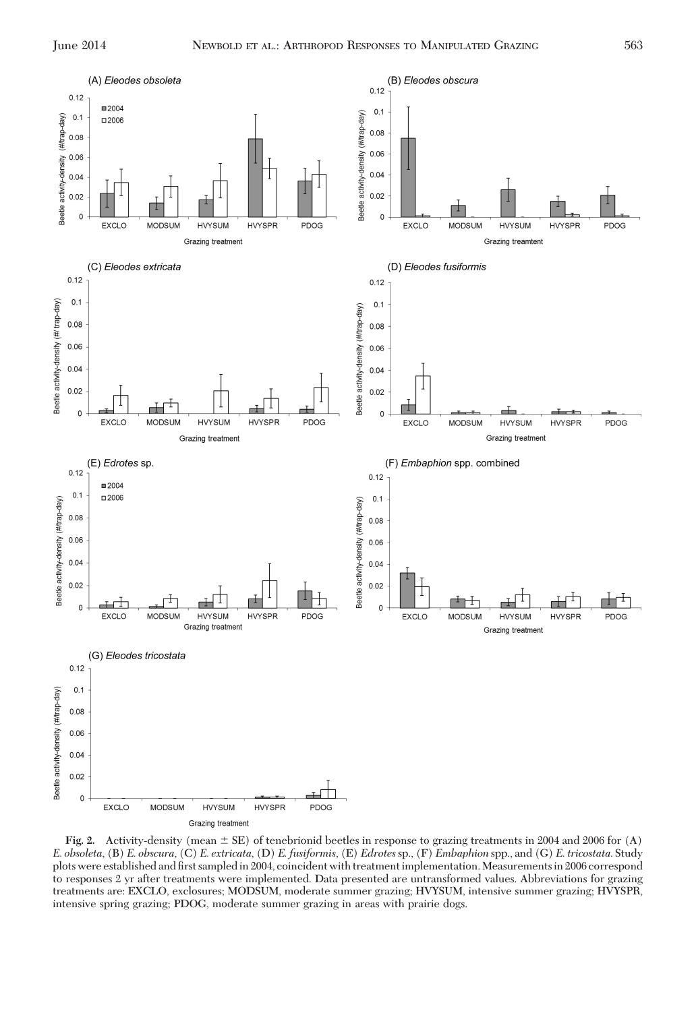

**Fig. 2.** Activity-density (mean  $\pm$  SE) of tenebrionid beetles in response to grazing treatments in 2004 and 2006 for (A) *E. obsoleta*, (B) *E. obscura*, (C) *E. extricata*, (D) *E. fusiformis*, (E) *Edrotes*sp., (F) *Embaphion* spp., and (G) *E. tricostata*. Study plots were established and first sampled in 2004, coincident with treatment implementation. Measurements in 2006 correspond to responses 2 yr after treatments were implemented. Data presented are untransformed values. Abbreviations for grazing treatments are: EXCLO, exclosures; MODSUM, moderate summer grazing; HVYSUM, intensive summer grazing; HVYSPR, intensive spring grazing; PDOG, moderate summer grazing in areas with prairie dogs.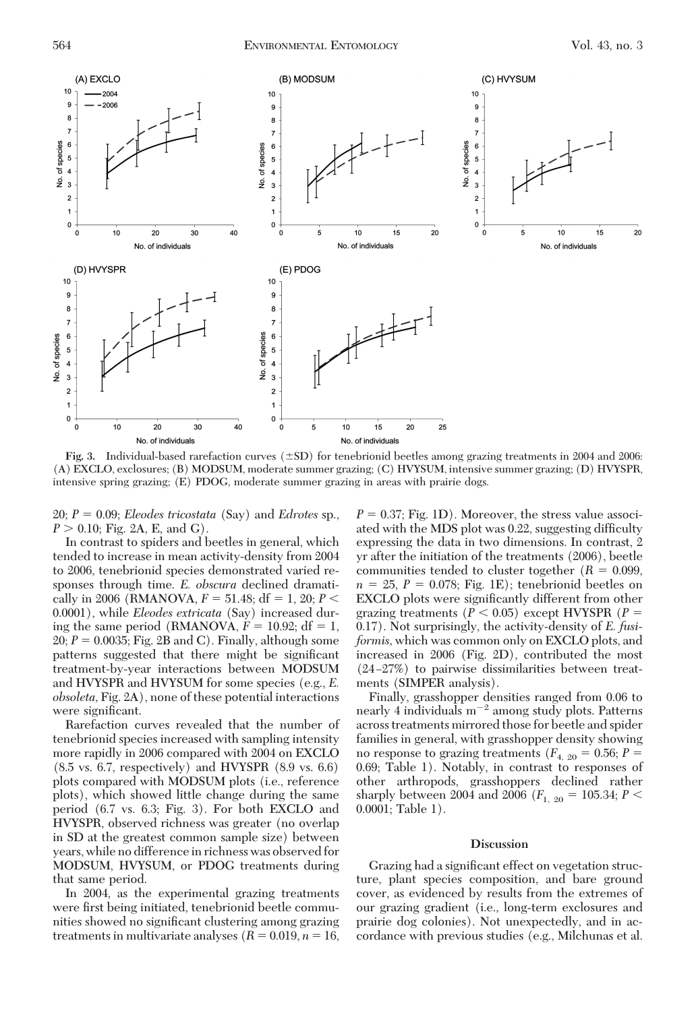

**Fig. 3.** Individual-based rarefaction curves  $(\pm SD)$  for tenebrionid beetles among grazing treatments in 2004 and 2006: (A) EXCLO, exclosures; (B) MODSUM, moderate summer grazing; (C) HVYSUM, intensive summer grazing; (D) HVYSPR, intensive spring grazing; (E) PDOG, moderate summer grazing in areas with prairie dogs.

 $20; P = 0.09;$  *Eleodes tricostata* (Say) and *Edrotes* sp.,  $P > 0.10$ ; Fig. 2A, E, and G).

In contrast to spiders and beetles in general, which tended to increase in mean activity-density from 2004 to 2006, tenebrionid species demonstrated varied responses through time. *E. obscura* declined dramatically in 2006 (RMANOVA,  $F = 51.48$ ; df = 1, 20;  $P <$ 0.0001), while *Eleodes extricata* (Say) increased during the same period (RMANOVA,  $F = 10.92$ ; df = 1,  $20; P = 0.0035; Fig. 2B and C$ . Finally, although some patterns suggested that there might be significant treatment-by-year interactions between MODSUM and HVYSPR and HVYSUM for some species (e.g., *E. obsoleta,* Fig. 2A), none of these potential interactions were significant.

Rarefaction curves revealed that the number of tenebrionid species increased with sampling intensity more rapidly in 2006 compared with 2004 on EXCLO (8.5 vs. 6.7, respectively) and HVYSPR (8.9 vs. 6.6) plots compared with MODSUM plots (i.e., reference plots), which showed little change during the same period (6.7 vs. 6.3; Fig. 3). For both EXCLO and HVYSPR, observed richness was greater (no overlap in SD at the greatest common sample size) between years, while no difference in richness was observed for MODSUM, HVYSUM, or PDOG treatments during that same period.

In 2004, as the experimental grazing treatments were first being initiated, tenebrionid beetle communities showed no significant clustering among grazing treatments in multivariate analyses  $(R = 0.019, n = 16,$ 

 $P = 0.37$ ; Fig. 1D). Moreover, the stress value associated with the MDS plot was 0.22, suggesting difficulty expressing the data in two dimensions. In contrast, 2 yr after the initiation of the treatments (2006), beetle communities tended to cluster together  $(R = 0.099,$  $n = 25$ ,  $P = 0.078$ ; Fig. 1E); tenebrionid beetles on EXCLO plots were significantly different from other grazing treatments  $(P < 0.05)$  except HVYSPR  $(P =$ 0.17). Not surprisingly, the activity-density of *E. fusiformis,* which was common only on EXCLO plots, and increased in 2006 (Fig. 2D), contributed the most  $(24-27%)$  to pairwise dissimilarities between treatments (SIMPER analysis).

Finally, grasshopper densities ranged from 0.06 to nearly 4 individuals  $m^{-2}$  among study plots. Patterns across treatments mirrored those for beetle and spider families in general, with grasshopper density showing no response to grazing treatments ( $F_{4, 20} = 0.56; P =$ 0.69; Table 1). Notably, in contrast to responses of other arthropods, grasshoppers declined rather sharply between 2004 and 2006 ( $F_{1, 20} = 105.34; P <$ 0.0001; Table 1).

### **Discussion**

Grazing had a significant effect on vegetation structure, plant species composition, and bare ground cover, as evidenced by results from the extremes of our grazing gradient (i.e., long-term exclosures and prairie dog colonies). Not unexpectedly, and in accordance with previous studies (e.g., Milchunas et al.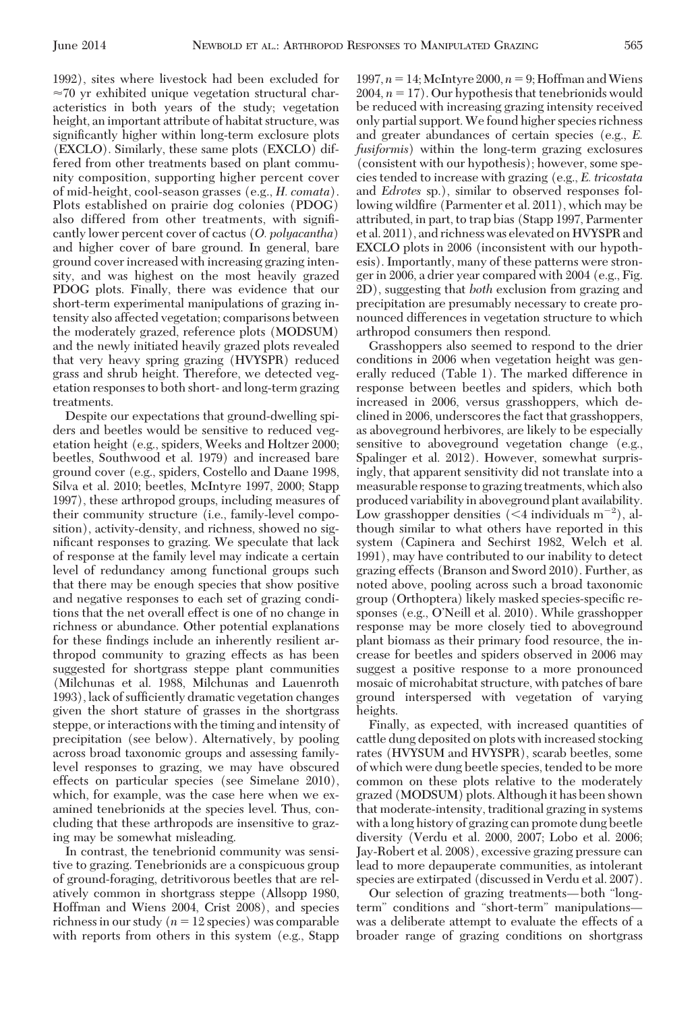1992), sites where livestock had been excluded for  $\approx$ 70 yr exhibited unique vegetation structural characteristics in both years of the study; vegetation height, an important attribute of habitat structure, was significantly higher within long-term exclosure plots (EXCLO). Similarly, these same plots (EXCLO) differed from other treatments based on plant community composition, supporting higher percent cover of mid-height, cool-season grasses (e.g., *H. comata*). Plots established on prairie dog colonies (PDOG) also differed from other treatments, with signiÞcantly lower percent cover of cactus (*O. polyacantha*) and higher cover of bare ground. In general, bare ground cover increased with increasing grazing intensity, and was highest on the most heavily grazed PDOG plots. Finally, there was evidence that our short-term experimental manipulations of grazing intensity also affected vegetation; comparisons between the moderately grazed, reference plots (MODSUM) and the newly initiated heavily grazed plots revealed that very heavy spring grazing (HVYSPR) reduced grass and shrub height. Therefore, we detected vegetation responses to both short- and long-term grazing treatments.

Despite our expectations that ground-dwelling spiders and beetles would be sensitive to reduced vegetation height (e.g., spiders, Weeks and Holtzer 2000; beetles, Southwood et al. 1979) and increased bare ground cover (e.g., spiders, Costello and Daane 1998, Silva et al. 2010; beetles, McIntyre 1997, 2000; Stapp 1997), these arthropod groups, including measures of their community structure (i.e., family-level composition), activity-density, and richness, showed no significant responses to grazing. We speculate that lack of response at the family level may indicate a certain level of redundancy among functional groups such that there may be enough species that show positive and negative responses to each set of grazing conditions that the net overall effect is one of no change in richness or abundance. Other potential explanations for these findings include an inherently resilient arthropod community to grazing effects as has been suggested for shortgrass steppe plant communities (Milchunas et al. 1988, Milchunas and Lauenroth 1993), lack of sufficiently dramatic vegetation changes given the short stature of grasses in the shortgrass steppe, or interactions with the timing and intensity of precipitation (see below). Alternatively, by pooling across broad taxonomic groups and assessing familylevel responses to grazing, we may have obscured effects on particular species (see Simelane 2010), which, for example, was the case here when we examined tenebrionids at the species level. Thus, concluding that these arthropods are insensitive to grazing may be somewhat misleading.

In contrast, the tenebrionid community was sensitive to grazing. Tenebrionids are a conspicuous group of ground-foraging, detritivorous beetles that are relatively common in shortgrass steppe (Allsopp 1980, Hoffman and Wiens 2004, Crist 2008), and species richness in our study  $(n = 12 \text{ species})$  was comparable with reports from others in this system (e.g., Stapp

1997,  $n = 14$ ; McIntyre 2000,  $n = 9$ ; Hoffman and Wiens  $2004$ ,  $n = 17$ ). Our hypothesis that tenebrionids would be reduced with increasing grazing intensity received only partial support.We found higher species richness and greater abundances of certain species (e.g., *E. fusiformis*) within the long-term grazing exclosures (consistent with our hypothesis); however, some species tended to increase with grazing (e.g., *E. tricostata* and *Edrotes* sp.), similar to observed responses following wildfire (Parmenter et al. 2011), which may be attributed, in part, to trap bias (Stapp 1997, Parmenter et al. 2011), and richness was elevated on HVYSPR and EXCLO plots in 2006 (inconsistent with our hypothesis). Importantly, many of these patterns were stronger in 2006, a drier year compared with 2004 (e.g., Fig. 2D), suggesting that *both* exclusion from grazing and precipitation are presumably necessary to create pronounced differences in vegetation structure to which arthropod consumers then respond.

Grasshoppers also seemed to respond to the drier conditions in 2006 when vegetation height was generally reduced (Table 1). The marked difference in response between beetles and spiders, which both increased in 2006, versus grasshoppers, which declined in 2006, underscores the fact that grasshoppers, as aboveground herbivores, are likely to be especially sensitive to aboveground vegetation change (e.g., Spalinger et al. 2012). However, somewhat surprisingly, that apparent sensitivity did not translate into a measurable response to grazing treatments, which also produced variability in aboveground plant availability. Low grasshopper densities  $(< 4$  individuals m<sup>-2</sup>), although similar to what others have reported in this system (Capinera and Sechirst 1982, Welch et al. 1991), may have contributed to our inability to detect grazing effects (Branson and Sword 2010). Further, as noted above, pooling across such a broad taxonomic group (Orthoptera) likely masked species-specific responses (e.g., O'Neill et al. 2010). While grasshopper response may be more closely tied to aboveground plant biomass as their primary food resource, the increase for beetles and spiders observed in 2006 may suggest a positive response to a more pronounced mosaic of microhabitat structure, with patches of bare ground interspersed with vegetation of varying heights.

Finally, as expected, with increased quantities of cattle dung deposited on plots with increased stocking rates (HVYSUM and HVYSPR), scarab beetles, some of which were dung beetle species, tended to be more common on these plots relative to the moderately grazed (MODSUM) plots. Althoughit has been shown that moderate-intensity, traditional grazing in systems with a long history of grazing can promote dung beetle diversity (Verdu et al. 2000, 2007; Lobo et al. 2006; Jay-Robert et al. 2008), excessive grazing pressure can lead to more depauperate communities, as intolerant species are extirpated (discussed in Verdu et al. 2007).

Our selection of grazing treatments—both "longterm" conditions and "short-term" manipulationswas a deliberate attempt to evaluate the effects of a broader range of grazing conditions on shortgrass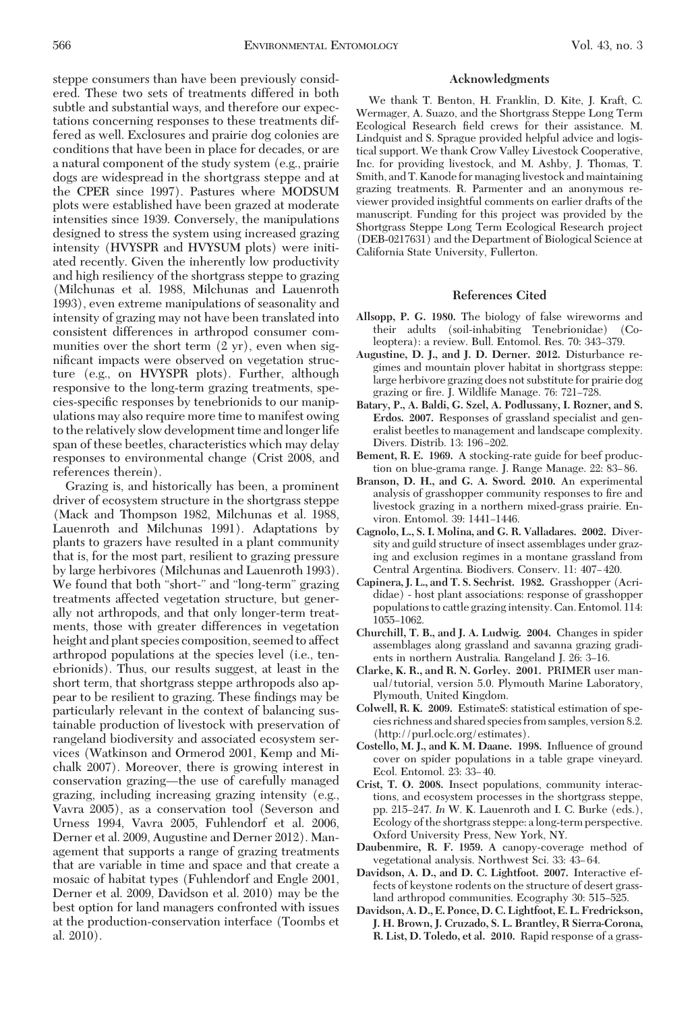steppe consumers than have been previously considered. These two sets of treatments differed in both subtle and substantial ways, and therefore our expectations concerning responses to these treatments differed as well. Exclosures and prairie dog colonies are conditions that have been in place for decades, or are a natural component of the study system (e.g., prairie dogs are widespread in the shortgrass steppe and at the CPER since 1997). Pastures where MODSUM plots were established have been grazed at moderate intensities since 1939. Conversely, the manipulations designed to stress the system using increased grazing intensity (HVYSPR and HVYSUM plots) were initiated recently. Given the inherently low productivity and high resiliency of the shortgrass steppe to grazing (Milchunas et al. 1988, Milchunas and Lauenroth 1993), even extreme manipulations of seasonality and intensity of grazing may not have been translated into consistent differences in arthropod consumer communities over the short term (2 yr), even when significant impacts were observed on vegetation structure (e.g., on HVYSPR plots). Further, although responsive to the long-term grazing treatments, species-specific responses by tenebrionids to our manipulations may also require more time to manifest owing to the relatively slow development time and longer life span of these beetles, characteristics which may delay responses to environmental change (Crist 2008, and references therein).

Grazing is, and historically has been, a prominent driver of ecosystem structure in the shortgrass steppe (Mack and Thompson 1982, Milchunas et al. 1988, Lauenroth and Milchunas 1991). Adaptations by plants to grazers have resulted in a plant community that is, for the most part, resilient to grazing pressure by large herbivores (Milchunas and Lauenroth 1993). We found that both "short-" and "long-term" grazing treatments affected vegetation structure, but generally not arthropods, and that only longer-term treatments, those with greater differences in vegetation height and plant species composition, seemed to affect arthropod populations at the species level (i.e., tenebrionids). Thus, our results suggest, at least in the short term, that shortgrass steppe arthropods also appear to be resilient to grazing. These findings may be particularly relevant in the context of balancing sustainable production of livestock with preservation of rangeland biodiversity and associated ecosystem services (Watkinson and Ormerod 2001, Kemp and Michalk 2007). Moreover, there is growing interest in conservation grazing—the use of carefully managed grazing, including increasing grazing intensity (e.g., Vavra 2005), as a conservation tool (Severson and Urness 1994, Vavra 2005, Fuhlendorf et al. 2006, Derner et al. 2009, Augustine and Derner 2012). Management that supports a range of grazing treatments that are variable in time and space and that create a mosaic of habitat types (Fuhlendorf and Engle 2001, Derner et al. 2009, Davidson et al. 2010) may be the best option for land managers confronted with issues at the production-conservation interface (Toombs et al. 2010).

#### **Acknowledgments**

We thank T. Benton, H. Franklin, D. Kite, J. Kraft, C. Wermager, A. Suazo, and the Shortgrass Steppe Long Term Ecological Research field crews for their assistance. M. Lindquist and S. Sprague provided helpful advice and logistical support. We thank Crow Valley Livestock Cooperative, Inc. for providing livestock, and M. Ashby, J. Thomas, T. Smith, and T. Kanode for managing livestock and maintaining grazing treatments. R. Parmenter and an anonymous reviewer provided insightful comments on earlier drafts of the manuscript. Funding for this project was provided by the Shortgrass Steppe Long Term Ecological Research project (DEB-0217631) and the Department of Biological Science at California State University, Fullerton.

## **References Cited**

- **Allsopp, P. G. 1980.** The biology of false wireworms and their adults (soil-inhabiting Tenebrionidae) (Coleoptera): a review. Bull. Entomol. Res. 70: 343-379.
- **Augustine, D. J., and J. D. Derner. 2012.** Disturbance regimes and mountain plover habitat in shortgrass steppe: large herbivore grazing does not substitute for prairie dog grazing or fire. J. Wildlife Manage. 76: 721-728.
- **Batary, P., A. Baldi, G. Szel, A. Podlussany, I. Rozner, and S. Erdos. 2007.** Responses of grassland specialist and generalist beetles to management and landscape complexity. Divers. Distrib. 13: 196-202.
- **Bement, R. E. 1969.** A stocking-rate guide for beef production on blue-grama range. J. Range Manage. 22: 83–86.
- **Branson, D. H., and G. A. Sword. 2010.** An experimental analysis of grasshopper community responses to fire and livestock grazing in a northern mixed-grass prairie. Environ. Entomol. 39: 1441-1446.
- **Cagnolo, L., S. I. Molina, and G. R. Valladares. 2002.** Diversity and guild structure of insect assemblages under grazing and exclusion regimes in a montane grassland from Central Argentina. Biodivers. Conserv. 11: 407-420.
- **Capinera, J. L., and T. S. Sechrist. 1982.** Grasshopper (Acrididae) - host plant associations: response of grasshopper populations to cattle grazing intensity. Can. Entomol. 114: 1055-1062.
- **Churchill, T. B., and J. A. Ludwig. 2004.** Changes in spider assemblages along grassland and savanna grazing gradients in northern Australia. Rangeland J. 26: 3-16.
- **Clarke, K. R., and R. N. Gorley. 2001.** PRIMER user manual/tutorial, version 5.0. Plymouth Marine Laboratory, Plymouth, United Kingdom.
- **Colwell, R. K. 2009.** EstimateS: statistical estimation of species richness and shared species from samples, version 8.2. (http://purl.oclc.org/estimates).
- **Costello, M. J., and K. M. Daane. 1998.** Inßuence of ground cover on spider populations in a table grape vineyard. Ecol. Entomol. 23: 33-40.
- **Crist, T. O. 2008.** Insect populations, community interactions, and ecosystem processes in the shortgrass steppe, pp. 215–247. *In* W. K. Lauenroth and I. C. Burke (eds.), Ecology of the shortgrass steppe: a long-term perspective. Oxford University Press, New York, NY.
- **Daubenmire, R. F. 1959.** A canopy-coverage method of vegetational analysis. Northwest Sci. 33: 43-64.
- **Davidson, A. D., and D. C. Lightfoot. 2007.** Interactive effects of keystone rodents on the structure of desert grassland arthropod communities. Ecography 30: 515-525.
- **Davidson, A. D., E. Ponce, D. C. Lightfoot, E. L. Fredrickson, J. H. Brown, J. Cruzado, S. L. Brantley, R Sierra-Corona, R. List, D. Toledo, et al. 2010.** Rapid response of a grass-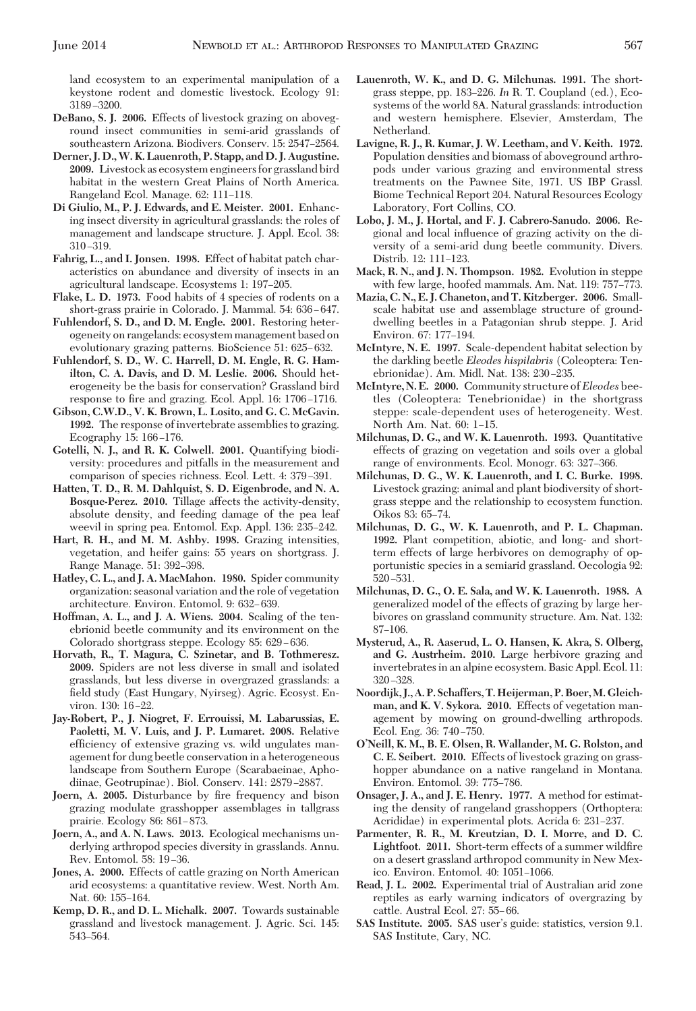land ecosystem to an experimental manipulation of a keystone rodent and domestic livestock. Ecology 91: 3189-3200.

- **DeBano, S. J. 2006.** Effects of livestock grazing on aboveground insect communities in semi-arid grasslands of southeastern Arizona. Biodivers. Conserv. 15: 2547-2564.
- **Derner, J. D.,W. K. Lauenroth, P. Stapp, and D. J. Augustine. 2009.** Livestock as ecosystem engineers for grassland bird habitat in the western Great Plains of North America. Rangeland Ecol. Manage. 62: 111-118.
- **Di Giulio, M., P. J. Edwards, and E. Meister. 2001.** Enhancing insect diversity in agricultural grasslands: the roles of management and landscape structure. J. Appl. Ecol. 38:  $310 - 319$ .
- **Fahrig, L., and I. Jonsen. 1998.** Effect of habitat patch characteristics on abundance and diversity of insects in an agricultural landscape. Ecosystems 1: 197-205.
- **Flake, L. D. 1973.** Food habits of 4 species of rodents on a short-grass prairie in Colorado. J. Mammal. 54: 636-647.
- **Fuhlendorf, S. D., and D. M. Engle. 2001.** Restoring heterogeneity on rangelands: ecosystem management based on evolutionary grazing patterns. BioScience 51: 625-632.
- **Fuhlendorf, S. D., W. C. Harrell, D. M. Engle, R. G. Hamilton, C. A. Davis, and D. M. Leslie. 2006.** Should heterogeneity be the basis for conservation? Grassland bird response to fire and grazing. Ecol. Appl. 16: 1706-1716.
- **Gibson, C.W.D., V. K. Brown, L. Losito, and G. C. McGavin. 1992.** The response of invertebrate assemblies to grazing. Ecography 15: 166-176.
- **Gotelli, N. J., and R. K. Colwell. 2001.** Quantifying biodiversity: procedures and pitfalls in the measurement and comparison of species richness. Ecol. Lett. 4: 379-391.
- **Hatten, T. D., R. M. Dahlquist, S. D. Eigenbrode, and N. A. Bosque-Perez. 2010.** Tillage affects the activity-density, absolute density, and feeding damage of the pea leaf weevil in spring pea. Entomol. Exp. Appl. 136: 235–242.
- **Hart, R. H., and M. M. Ashby. 1998.** Grazing intensities, vegetation, and heifer gains: 55 years on shortgrass. J. Range Manage. 51: 392-398.
- **Hatley, C. L., and J. A. MacMahon. 1980.** Spider community organization: seasonal variation and the role of vegetation architecture. Environ. Entomol. 9: 632-639.
- **Hoffman, A. L., and J. A. Wiens. 2004.** Scaling of the tenebrionid beetle community and its environment on the Colorado shortgrass steppe. Ecology 85: 629–636.
- **Horvath, R., T. Magura, C. Szinetar, and B. Tothmeresz. 2009.** Spiders are not less diverse in small and isolated grasslands, but less diverse in overgrazed grasslands: a field study (East Hungary, Nyirseg). Agric. Ecosyst. Environ. 130: 16-22.
- **Jay-Robert, P., J. Niogret, F. Errouissi, M. Labarussias, E. Paoletti, M. V. Luis, and J. P. Lumaret. 2008.** Relative efficiency of extensive grazing vs. wild ungulates management for dung beetle conservation in a heterogeneous landscape from Southern Europe (Scarabaeinae, Aphodiinae, Geotrupinae). Biol. Conserv. 141: 2879-2887.
- **Joern, A. 2005.** Disturbance by fire frequency and bison grazing modulate grasshopper assemblages in tallgrass prairie. Ecology 86:  $861-873$ .
- **Joern, A., and A. N. Laws. 2013.** Ecological mechanisms underlying arthropod species diversity in grasslands. Annu. Rev. Entomol. 58: 19-36.
- **Jones, A. 2000.** Effects of cattle grazing on North American arid ecosystems: a quantitative review. West. North Am. Nat. 60: 155-164.
- **Kemp, D. R., and D. L. Michalk. 2007.** Towards sustainable grassland and livestock management. J. Agric. Sci. 145: 543-564.
- **Lauenroth, W. K., and D. G. Milchunas. 1991.** The shortgrass steppe, pp. 183-226. In R. T. Coupland (ed.), Ecosystems of the world 8A. Natural grasslands: introduction and western hemisphere. Elsevier, Amsterdam, The Netherland.
- **Lavigne, R. J., R. Kumar, J. W. Leetham, and V. Keith. 1972.** Population densities and biomass of aboveground arthropods under various grazing and environmental stress treatments on the Pawnee Site, 1971. US IBP Grassl. Biome Technical Report 204. Natural Resources Ecology Laboratory, Fort Collins, CO.
- **Lobo, J. M., J. Hortal, and F. J. Cabrero-Sanudo. 2006.** Regional and local inßuence of grazing activity on the diversity of a semi-arid dung beetle community. Divers. Distrib. 12: 111-123.
- **Mack, R. N., and J. N. Thompson. 1982.** Evolution in steppe with few large, hoofed mammals. Am. Nat. 119: 757-773.
- **Mazia, C. N., E. J. Chaneton, and T. Kitzberger. 2006.** Smallscale habitat use and assemblage structure of grounddwelling beetles in a Patagonian shrub steppe. J. Arid Environ. 67: 177-194.
- **McIntyre, N. E. 1997.** Scale-dependent habitat selection by the darkling beetle *Eleodes hispilabris* (Coleoptera: Tenebrionidae). Am. Midl. Nat. 138: 230-235.
- **McIntyre, N. E. 2000.** Community structure of *Eleodes* beetles (Coleoptera: Tenebrionidae) in the shortgrass steppe: scale-dependent uses of heterogeneity. West. North Am. Nat. 60: 1-15.
- **Milchunas, D. G., and W. K. Lauenroth. 1993.** Quantitative effects of grazing on vegetation and soils over a global range of environments. Ecol. Monogr. 63: 327-366.
- **Milchunas, D. G., W. K. Lauenroth, and I. C. Burke. 1998.** Livestock grazing: animal and plant biodiversity of shortgrass steppe and the relationship to ecosystem function. Oikos 83: 65-74.
- **Milchunas, D. G., W. K. Lauenroth, and P. L. Chapman. 1992.** Plant competition, abiotic, and long- and shortterm effects of large herbivores on demography of opportunistic species in a semiarid grassland. Oecologia 92: 520-531.
- **Milchunas, D. G., O. E. Sala, and W. K. Lauenroth. 1988.** A generalized model of the effects of grazing by large herbivores on grassland community structure. Am. Nat. 132: 87-106.
- **Mysterud, A., R. Aaserud, L. O. Hansen, K. Akra, S. Olberg, and G. Austrheim. 2010.** Large herbivore grazing and invertebrates in an alpine ecosystem. Basic Appl. Ecol. 11: 320-328.
- **Noordijk, J., A. P. Schaffers, T.Heijerman, P. Boer,M. Gleichman, and K. V. Sykora. 2010.** Effects of vegetation management by mowing on ground-dwelling arthropods. Ecol. Eng. 36: 740-750.
- **O'Neill, K. M., B. E. Olsen, R. Wallander, M. G. Rolston, and C. E. Seibert. 2010.** Effects of livestock grazing on grasshopper abundance on a native rangeland in Montana. Environ. Entomol. 39: 775-786.
- **Onsager, J. A., and J. E. Henry. 1977.** A method for estimating the density of rangeland grasshoppers (Orthoptera: Acrididae) in experimental plots. Acrida 6: 231–237.
- **Parmenter, R. R., M. Kreutzian, D. I. Morre, and D. C.** Lightfoot. 2011. Short-term effects of a summer wildfire on a desert grassland arthropod community in New Mexico. Environ. Entomol. 40: 1051-1066.
- **Read, J. L. 2002.** Experimental trial of Australian arid zone reptiles as early warning indicators of overgrazing by cattle. Austral Ecol. 27: 55-66.
- SAS Institute. 2005. SAS user's guide: statistics, version 9.1. SAS Institute, Cary, NC.